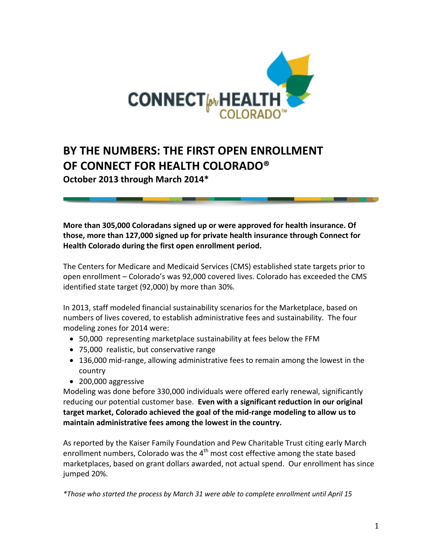

# **BY THE NUMBERS: THE FIRST OPEN ENROLLMENT OF CONNECT FOR HEALTH COLORADO®**

**October 2013 through March 2014\***

**More than 305,000 Coloradans signed up or were approved for health insurance. Of those, more than 127,000 signed up for private health insurance through Connect for Health Colorado during the first open enrollment period.**

The Centers for Medicare and Medicaid Services (CMS) established state targets prior to open enrollment – Colorado's was 92,000 covered lives. Colorado has exceeded the CMS identified state target (92,000) by more than 30%.

In 2013, staff modeled financial sustainability scenarios for the Marketplace, based on numbers of lives covered, to establish administrative fees and sustainability. The four modeling zones for 2014 were:

- 50,000 representing marketplace sustainability at fees below the FFM
- 75,000 realistic, but conservative range
- 136,000 mid-range, allowing administrative fees to remain among the lowest in the country
- 200,000 aggressive

Modeling was done before 330,000 individuals were offered early renewal, significantly reducing our potential customer base. **Even with a significant reduction in our original target market, Colorado achieved the goal of the mid-range modeling to allow us to maintain administrative fees among the lowest in the country.**

As reported by the Kaiser Family Foundation and Pew Charitable Trust citing early March enrollment numbers, Colorado was the  $4<sup>th</sup>$  most cost effective among the state based marketplaces, based on grant dollars awarded, not actual spend. Our enrollment has since jumped 20%.

*\*Those who started the process by March 31 were able to complete enrollment until April 15*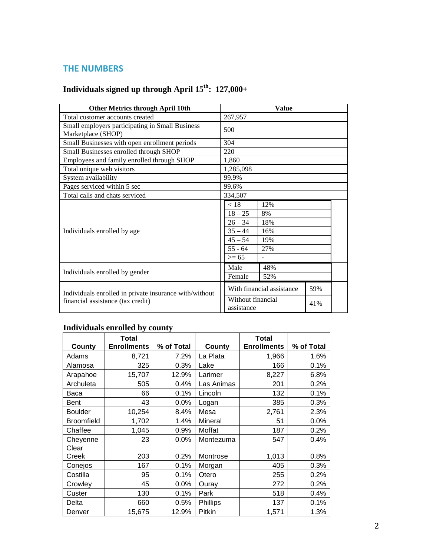## **THE NUMBERS**

# Individuals signed up through April  $15^{th}$ :  $127,000+$

| <b>Other Metrics through April 10th</b>                               | Value                                                                                                                     |  |  |  |
|-----------------------------------------------------------------------|---------------------------------------------------------------------------------------------------------------------------|--|--|--|
| Total customer accounts created                                       | 267,957                                                                                                                   |  |  |  |
| Small employers participating in Small Business<br>Marketplace (SHOP) | 500                                                                                                                       |  |  |  |
| Small Businesses with open enrollment periods                         | 304                                                                                                                       |  |  |  |
| Small Businesses enrolled through SHOP                                | 220                                                                                                                       |  |  |  |
| Employees and family enrolled through SHOP                            | 1,860                                                                                                                     |  |  |  |
| Total unique web visitors                                             | 1,285,098                                                                                                                 |  |  |  |
| System availability                                                   | 99.9%                                                                                                                     |  |  |  |
| Pages serviced within 5 sec                                           | 99.6%                                                                                                                     |  |  |  |
| Total calls and chats serviced                                        | 334,507                                                                                                                   |  |  |  |
| Individuals enrolled by age                                           | < 18<br>12%<br>$18 - 25$<br>8%<br>$26 - 34$<br>18%<br>$35 - 44$<br>16%<br>$45 - 54$<br>19%<br>$55 - 64$<br>27%<br>$>= 65$ |  |  |  |
| Individuals enrolled by gender                                        | Male<br>48%<br>Female<br>52%                                                                                              |  |  |  |
| Individuals enrolled in private insurance with/without                | With financial assistance<br>59%<br>Without financial                                                                     |  |  |  |
| financial assistance (tax credit)                                     | 41%<br>assistance                                                                                                         |  |  |  |

# **Individuals enrolled by county**

|                   | <b>Total</b>       |            |                 | <b>Total</b>       |            |
|-------------------|--------------------|------------|-----------------|--------------------|------------|
| County            | <b>Enrollments</b> | % of Total | County          | <b>Enrollments</b> | % of Total |
| Adams             | 8,721              | 7.2%       | La Plata        | 1,966              | 1.6%       |
| Alamosa           | 325                | 0.3%       | Lake            | 166                | 0.1%       |
| Arapahoe          | 15,707             | 12.9%      | Larimer         | 8,227              | 6.8%       |
| Archuleta         | 505                | 0.4%       | Las Animas      | 201                | 0.2%       |
| Baca              | 66                 | 0.1%       | Lincoln         | 132                | 0.1%       |
| Bent              | 43                 | 0.0%       | Logan           | 385                | 0.3%       |
| <b>Boulder</b>    | 10,254             | 8.4%       | Mesa            | 2,761              | 2.3%       |
| <b>Broomfield</b> | 1,702              | 1.4%       | Mineral         | 51                 | 0.0%       |
| Chaffee           | 1,045              | 0.9%       | Moffat          | 187                | 0.2%       |
| Cheyenne          | 23                 | 0.0%       | Montezuma       | 547                | 0.4%       |
| Clear             |                    |            |                 |                    |            |
| Creek             | 203                | 0.2%       | Montrose        | 1,013              | 0.8%       |
| Conejos           | 167                | 0.1%       | Morgan          | 405                | 0.3%       |
| Costilla          | 95                 | 0.1%       | Otero           | 255                | 0.2%       |
| Crowley           | 45                 | 0.0%       | Ouray           | 272                | 0.2%       |
| Custer            | 130                | 0.1%       | Park            | 518                | 0.4%       |
| Delta             | 660                | 0.5%       | <b>Phillips</b> | 137                | 0.1%       |
| Denver            | 15,675             | 12.9%      | Pitkin          | 1,571              | 1.3%       |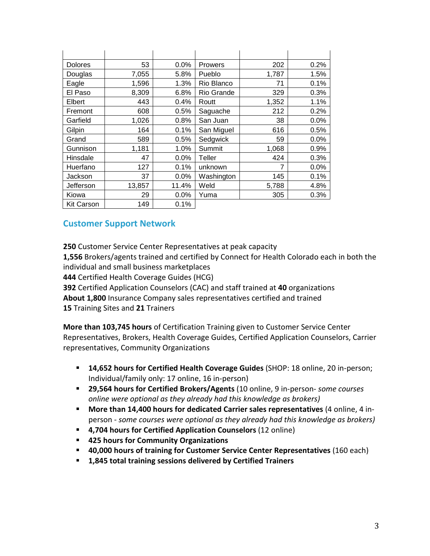| <b>Dolores</b>    | 53     | $0.0\%$ | <b>Prowers</b> | 202   | 0.2%    |
|-------------------|--------|---------|----------------|-------|---------|
| Douglas           | 7,055  | 5.8%    | Pueblo         | 1,787 | 1.5%    |
| Eagle             | 1,596  | 1.3%    | Rio Blanco     | 71    | 0.1%    |
| El Paso           | 8,309  | 6.8%    | Rio Grande     | 329   | 0.3%    |
| Elbert            | 443    | 0.4%    | Routt          | 1,352 | 1.1%    |
| Fremont           | 608    | 0.5%    | Saguache       | 212   | 0.2%    |
| Garfield          | 1,026  | 0.8%    | San Juan       | 38    | 0.0%    |
| Gilpin            | 164    | 0.1%    | San Miguel     | 616   | 0.5%    |
| Grand             | 589    | 0.5%    | Sedgwick       | 59    | 0.0%    |
| Gunnison          | 1,181  | 1.0%    | Summit         | 1,068 | 0.9%    |
| Hinsdale          | 47     | $0.0\%$ | Teller         | 424   | 0.3%    |
| Huerfano          | 127    | 0.1%    | unknown        | 7     | $0.0\%$ |
| Jackson           | 37     | 0.0%    | Washington     | 145   | 0.1%    |
| Jefferson         | 13,857 | 11.4%   | Weld           | 5,788 | 4.8%    |
| Kiowa             | 29     | $0.0\%$ | Yuma           | 305   | 0.3%    |
| <b>Kit Carson</b> | 149    | 0.1%    |                |       |         |

## **Customer Support Network**

**250** Customer Service Center Representatives at peak capacity **1,556** Brokers/agents trained and certified by Connect for Health Colorado each in both the individual and small business marketplaces **444** Certified Health Coverage Guides (HCG) **392** Certified Application Counselors (CAC) and staff trained at **40** organizations **About 1,800** Insurance Company sales representatives certified and trained **15** Training Sites and **21** Trainers

**More than 103,745 hours** of Certification Training given to Customer Service Center Representatives, Brokers, Health Coverage Guides, Certified Application Counselors, Carrier representatives, Community Organizations

- **14,652 hours for Certified Health Coverage Guides** (SHOP: 18 online, 20 in-person; Individual/family only: 17 online, 16 in-person)
- **29,564 hours for Certified Brokers/Agents** (10 online, 9 in-person- *some courses online were optional as they already had this knowledge as brokers)*
- **More than 14,400 hours for dedicated Carrier sales representatives** (4 online, 4 inperson - *some courses were optional as they already had this knowledge as brokers)*
- **4,704 hours for Certified Application Counselors** (12 online)
- **425 hours for Community Organizations**
- **40,000 hours of training for Customer Service Center Representatives** (160 each)
- **1,845 total training sessions delivered by Certified Trainers**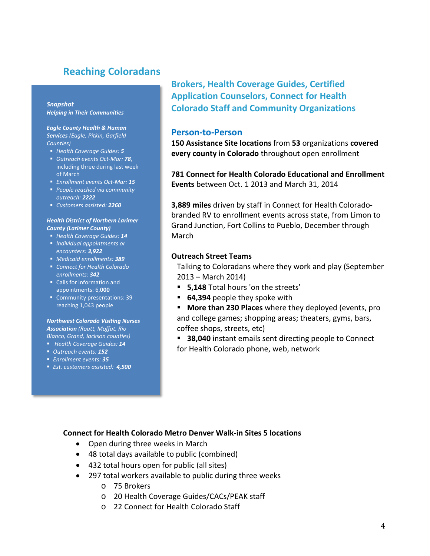# **Reaching Coloradans**

#### *Snapshot Helping in Their Communities*

*Eagle County Health & Human Services (Eagle, Pitkin, Garfield Counties)*

- *Health Coverage Guides: 5*
- *Outreach events Oct-Mar: 78*, including three during last week of March
- *Enrollment events Oct-Mar: 15*
- *People reached via community outreach: 2222*
- *Customers assisted: 2260*

#### *Health District of Northern Larimer County (Larimer County)*

- *Health Coverage Guides: 14*
- *Individual appointments or encounters: 3,922*
- *Medicaid enrollments: 389*
- *Connect for Health Colorado enrollments: 342*
- Calls for information and appointments: 6,**000**
- Community presentations: 39 reaching 1,043 people

#### *Northwest Colorado Visiting Nurses Association (Routt, Moffat, Rio Blanco, Grand, Jackson counties)*

- *Health Coverage Guides: 14*
- *Outreach events: 152*
- *Enrollment events: 35*
- *Est. customers assisted: 4,500*

**Brokers, Health Coverage Guides, Certified Application Counselors, Connect for Health Colorado Staff and Community Organizations**

#### **Person-to-Person**

**150 Assistance Site locations** from **53** organizations **covered every county in Colorado** throughout open enrollment

**781 Connect for Health Colorado Educational and Enrollment Events** between Oct. 1 2013 and March 31, 2014

**3,889 miles** driven by staff in Connect for Health Coloradobranded RV to enrollment events across state, from Limon to Grand Junction, Fort Collins to Pueblo, December through March

#### **Outreach Street Teams**

Talking to Coloradans where they work and play (September 2013 – March 2014)

- **5,148** Total hours 'on the streets'
- **64,394** people they spoke with
- **More than 230 Places** where they deployed (events, pro and college games; shopping areas; theaters, gyms, bars, coffee shops, streets, etc)

**38,040** instant emails sent directing people to Connect for Health Colorado phone, web, network

#### **Connect for Health Colorado Metro Denver Walk-in Sites 5 locations**

- Open during three weeks in March
- 48 total days available to public (combined)
- 432 total hours open for public (all sites)
- 297 total workers available to public during three weeks
	- o 75 Brokers
	- o 20 Health Coverage Guides/CACs/PEAK staff
	- o 22 Connect for Health Colorado Staff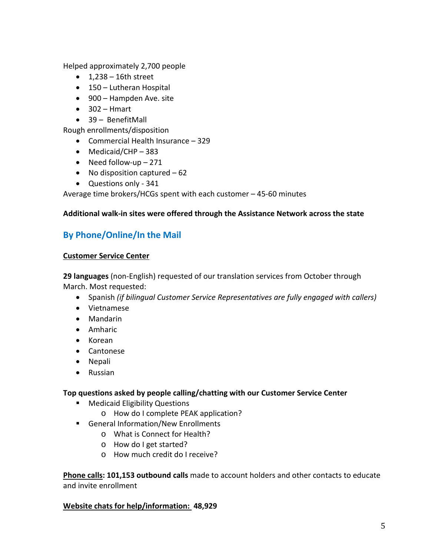Helped approximately 2,700 people

- $\bullet$  1,238 16th street
- 150 Lutheran Hospital
- 900 Hampden Ave. site
- $302 H$ mart
- 39 BenefitMall

Rough enrollments/disposition

- Commercial Health Insurance 329
- Medicaid/CHP 383
- Need follow-up 271
- No disposition captured 62
- Questions only 341

Average time brokers/HCGs spent with each customer – 45-60 minutes

### **Additional walk-in sites were offered through the Assistance Network across the state**

# **By Phone/Online/In the Mail**

#### **Customer Service Center**

**29 languages** (non-English) requested of our translation services from October through March. Most requested:

- Spanish *(if bilingual Customer Service Representatives are fully engaged with callers)*
- Vietnamese
- Mandarin
- Amharic
- Korean
- Cantonese
- Nepali
- Russian

### **Top questions asked by people calling/chatting with our Customer Service Center**

- **Medicaid Eligibility Questions** 
	- o How do I complete PEAK application?
- **General Information/New Enrollments** 
	- o What is Connect for Health?
	- o How do I get started?
	- o How much credit do I receive?

**Phone calls: 101,153 outbound calls** made to account holders and other contacts to educate and invite enrollment

### **Website chats for help/information: 48,929**